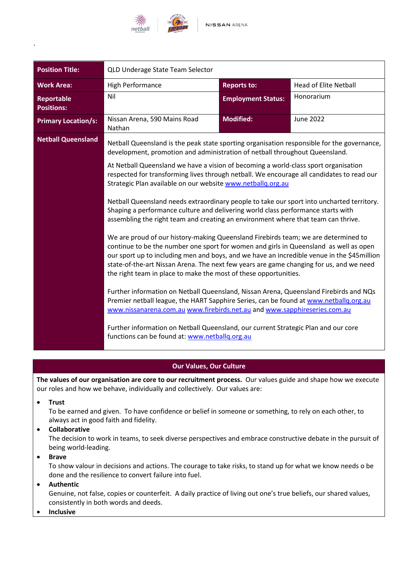

| <b>Position Title:</b>                 | QLD Underage State Team Selector                                                                                                                                                                                                                                                                                                                                                                                                                                                                                                                                                                                                                                                                                                                                                                                                                                                                                                                                                                                                                                                                                                                                                                                                  |                           |                              |
|----------------------------------------|-----------------------------------------------------------------------------------------------------------------------------------------------------------------------------------------------------------------------------------------------------------------------------------------------------------------------------------------------------------------------------------------------------------------------------------------------------------------------------------------------------------------------------------------------------------------------------------------------------------------------------------------------------------------------------------------------------------------------------------------------------------------------------------------------------------------------------------------------------------------------------------------------------------------------------------------------------------------------------------------------------------------------------------------------------------------------------------------------------------------------------------------------------------------------------------------------------------------------------------|---------------------------|------------------------------|
| <b>Work Area:</b>                      | High Performance                                                                                                                                                                                                                                                                                                                                                                                                                                                                                                                                                                                                                                                                                                                                                                                                                                                                                                                                                                                                                                                                                                                                                                                                                  | <b>Reports to:</b>        | <b>Head of Elite Netball</b> |
| <b>Reportable</b><br><b>Positions:</b> | Nil                                                                                                                                                                                                                                                                                                                                                                                                                                                                                                                                                                                                                                                                                                                                                                                                                                                                                                                                                                                                                                                                                                                                                                                                                               | <b>Employment Status:</b> | Honorarium                   |
| <b>Primary Location/s:</b>             | Nissan Arena, 590 Mains Road<br>Nathan                                                                                                                                                                                                                                                                                                                                                                                                                                                                                                                                                                                                                                                                                                                                                                                                                                                                                                                                                                                                                                                                                                                                                                                            | <b>Modified:</b>          | <b>June 2022</b>             |
| <b>Netball Queensland</b>              | Netball Queensland is the peak state sporting organisation responsible for the governance,<br>development, promotion and administration of netball throughout Queensland.                                                                                                                                                                                                                                                                                                                                                                                                                                                                                                                                                                                                                                                                                                                                                                                                                                                                                                                                                                                                                                                         |                           |                              |
|                                        | At Netball Queensland we have a vision of becoming a world-class sport organisation<br>respected for transforming lives through netball. We encourage all candidates to read our<br>Strategic Plan available on our website www.netballq.org.au<br>Netball Queensland needs extraordinary people to take our sport into uncharted territory.<br>Shaping a performance culture and delivering world class performance starts with<br>assembling the right team and creating an environment where that team can thrive.<br>We are proud of our history-making Queensland Firebirds team; we are determined to<br>continue to be the number one sport for women and girls in Queensland as well as open<br>our sport up to including men and boys, and we have an incredible venue in the \$45 million<br>state-of-the-art Nissan Arena. The next few years are game changing for us, and we need<br>the right team in place to make the most of these opportunities.<br>Further information on Netball Queensland, Nissan Arena, Queensland Firebirds and NQs<br>Premier netball league, the HART Sapphire Series, can be found at www.netballg.org.au<br>www.nissanarena.com.au www.firebirds.net.au and www.sapphireseries.com.au |                           |                              |
|                                        |                                                                                                                                                                                                                                                                                                                                                                                                                                                                                                                                                                                                                                                                                                                                                                                                                                                                                                                                                                                                                                                                                                                                                                                                                                   |                           |                              |
|                                        |                                                                                                                                                                                                                                                                                                                                                                                                                                                                                                                                                                                                                                                                                                                                                                                                                                                                                                                                                                                                                                                                                                                                                                                                                                   |                           |                              |
|                                        |                                                                                                                                                                                                                                                                                                                                                                                                                                                                                                                                                                                                                                                                                                                                                                                                                                                                                                                                                                                                                                                                                                                                                                                                                                   |                           |                              |
|                                        | Further information on Netball Queensland, our current Strategic Plan and our core<br>functions can be found at: www.netballq.org.au                                                                                                                                                                                                                                                                                                                                                                                                                                                                                                                                                                                                                                                                                                                                                                                                                                                                                                                                                                                                                                                                                              |                           |                              |

# **Our Values, Our Culture**

**The values of our organisation are core to our recruitment process.** Our values guide and shape how we execute our roles and how we behave, individually and collectively. Our values are:

• **Trust**

`

To be earned and given. To have confidence or belief in someone or something, to rely on each other, to always act in good faith and fidelity.

• **Collaborative**

The decision to work in teams, to seek diverse perspectives and embrace constructive debate in the pursuit of being world-leading.

• **Brave**

To show valour in decisions and actions. The courage to take risks, to stand up for what we know needs o be done and the resilience to convert failure into fuel.

# • **Authentic**

Genuine, not false, copies or counterfeit. A daily practice of living out one's true beliefs, our shared values, consistently in both words and deeds.

• **Inclusive**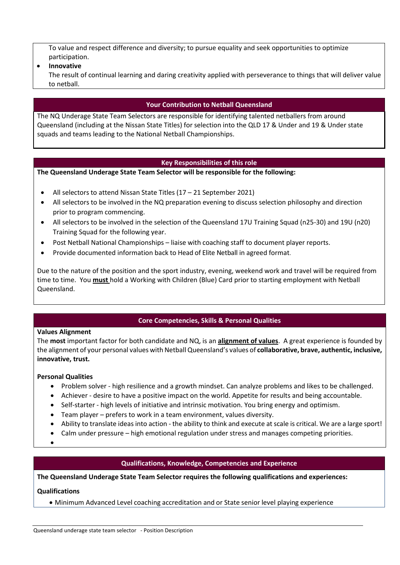To value and respect difference and diversity; to pursue equality and seek opportunities to optimize participation.

### • **Innovative**

The result of continual learning and daring creativity applied with perseverance to things that will deliver value to netball.

## **Your Contribution to Netball Queensland**

The NQ Underage State Team Selectors are responsible for identifying talented netballers from around Queensland (including at the Nissan State Titles) for selection into the QLD 17 & Under and 19 & Under state squads and teams leading to the National Netball Championships.

### **Key Responsibilities of this role**

**The Queensland Underage State Team Selector will be responsible for the following:**

- All selectors to attend Nissan State Titles (17 21 September 2021)
- All selectors to be involved in the NQ preparation evening to discuss selection philosophy and direction prior to program commencing.
- All selectors to be involved in the selection of the Queensland 17U Training Squad (n25-30) and 19U (n20) Training Squad for the following year.
- Post Netball National Championships liaise with coaching staff to document player reports.
- Provide documented information back to Head of Elite Netball in agreed format.

Due to the nature of the position and the sport industry, evening, weekend work and travel will be required from time to time. You **must** hold a Working with Children (Blue) Card prior to starting employment with Netball Queensland.

# **Core Competencies, Skills & Personal Qualities**

#### **Values Alignment**

The **most** important factor for both candidate and NQ, is an **alignment of values**. A great experience is founded by the alignment of your personal values with Netball Queensland's values of **collaborative, brave, authentic, inclusive, innovative, trust.** 

#### **Personal Qualities**

- Problem solver high resilience and a growth mindset. Can analyze problems and likes to be challenged.
- Achiever desire to have a positive impact on the world. Appetite for results and being accountable.
- Self-starter high levels of initiative and intrinsic motivation. You bring energy and optimism.
- Team player prefers to work in a team environment, values diversity.
- Ability to translate ideas into action the ability to think and execute at scale is critical. We are a large sport!
- Calm under pressure high emotional regulation under stress and manages competing priorities.
- •

### **Qualifications, Knowledge, Competencies and Experience**

**The Queensland Underage State Team Selector requires the following qualifications and experiences:**

#### **Qualifications**

• Minimum Advanced Level coaching accreditation and or State senior level playing experience